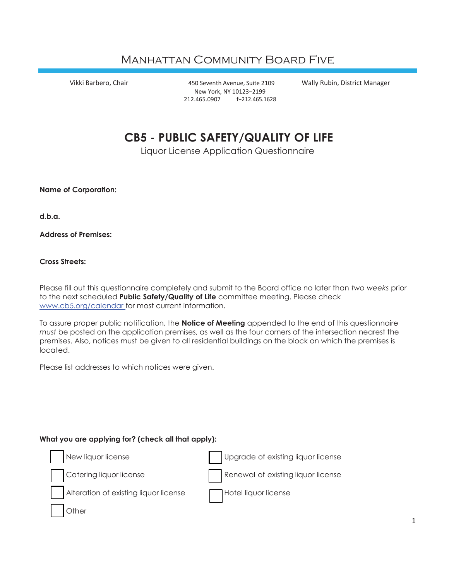## Manhattan Community Board Five

Vikki Barbero, Chair 450 Seventh Avenue, Suite 2109 Wally Rubin, District Manager New York, NY 10123−2199 212.465.0907 f−212.465.1628

# **CB5 - PUBLIC SAFETY/QUALITY OF LIFE**

Liquor License Application Questionnaire

**Name of Corporation:**

**d.b.a.**

**Address of Premises:**

**Cross Streets:**

Please fill out this questionnaire completely and submit to the Board office no later than *two weeks* prior to the next scheduled **Public Safety/Quality of Life** committee meeting. Please check [www.cb5.org/calendar f](http://www.cb5.org/calendar)or most current information.

To assure proper public notification, the **Notice of Meeting** appended to the end of this questionnaire *must* be posted on the application premises, as well as the four corners of the intersection nearest the premises. Also, notices must be given to all residential buildings on the block on which the premises is located.

Please list addresses to which notices were given.

#### **What you are applying for? (check all that apply):**

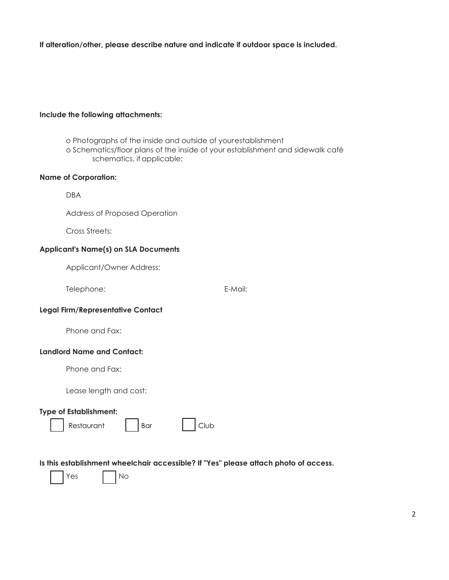**If alteration/other, please describe nature and indicate if outdoor space is included.**

#### **Include the following attachments:**

o Photographs of the inside and outside of yourestablishment

o Schematics/floor plans of the inside of your establishment and sidewalk café schematics, if applicable;

#### **Name of Corporation:**

DBA

Address of Proposed Operation

Cross Streets:

#### **Applicant's Name(s) on SLA Documents**

Applicant/Owner Address:

Telephone: E-Mail:

#### **Legal Firm/Representative Contact**

Phone and Fax:

#### **Landlord Name and Contact:**

Phone and Fax:

Lease length and cost:

 $N<sub>O</sub>$ 

#### **Type of Establishment:**

| Club<br>Restaurant<br>Bar |
|---------------------------|
|---------------------------|

**Is this establishment wheelchair accessible? If "Yes" please attach photo of access.**

|  | Υ<br>es |  |  |
|--|---------|--|--|
|--|---------|--|--|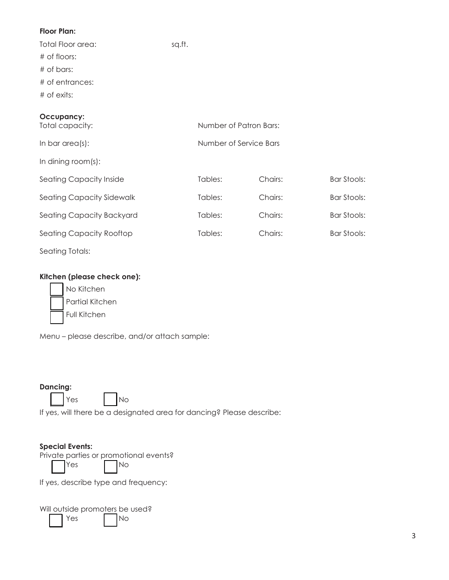## **Floor Plan:**

Total Floor area: sq.ft. # of floors: # of bars: # of entrances: # of exits:

## **Occupancy:**

| Total capacity:                |         | Number of Patron Bars: |             |  |  |
|--------------------------------|---------|------------------------|-------------|--|--|
| In bar area(s):                |         | Number of Service Bars |             |  |  |
| In dining room(s):             |         |                        |             |  |  |
| <b>Seating Capacity Inside</b> | Tables: | Chairs:                | Bar Stools: |  |  |
| Seating Capacity Sidewalk      | Tables: | Chairs:                | Bar Stools: |  |  |
| Seating Capacity Backyard      | Tables: | Chairs:                | Bar Stools: |  |  |
| Seating Capacity Rooftop       | Tables: | Chairs:                | Bar Stools: |  |  |
| <b>Seating Totals:</b>         |         |                        |             |  |  |

## **Kitchen (please check one):**

| No Kitchen      |
|-----------------|
| Partial Kitchen |
| Full Kitchen    |

Menu – please describe, and/or attach sample:

## **Dancing:**

 $Yes$   $|$   $|$   $No$ 

If yes, will there be a designated area for dancing? Please describe:

## **Special Events:**

Private parties or promotional events?

Yes No

If yes, describe type and frequency:

Will outside promoters be used? Yes No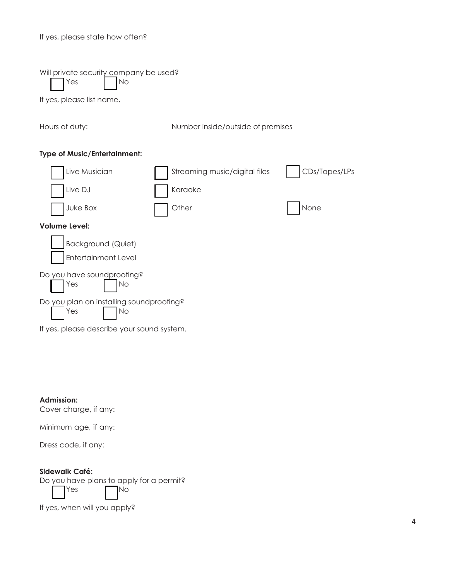#### If yes, please state how often?

|  | Will private security company be used? |  |
|--|----------------------------------------|--|
|  |                                        |  |

Yes | No

If yes, please list name.

Hours of duty: Number inside/outside of premises

## **Type of Music/Entertainment:**

| Live Musician                                         | Streaming music/digital files | CDs/Tapes/LPs |
|-------------------------------------------------------|-------------------------------|---------------|
| Live DJ                                               | Karaoke                       |               |
| Juke Box                                              | Other                         | None          |
| Volume Level:                                         |                               |               |
| Background (Quiet)                                    |                               |               |
| <b>Entertainment Level</b>                            |                               |               |
| Do you have soundproofing?<br>Yes<br>No               |                               |               |
| Do you plan on installing soundproofing?<br>Yes<br>No |                               |               |
| If yes, please describe your sound system.            |                               |               |

**Admission:**

Cover charge, if any:

Minimum age, if any:

Dress code, if any:

## **Sidewalk Café:**

Do you have plans to apply for a permit?

 $Yes$   $\neg$  No

If yes, when will you apply?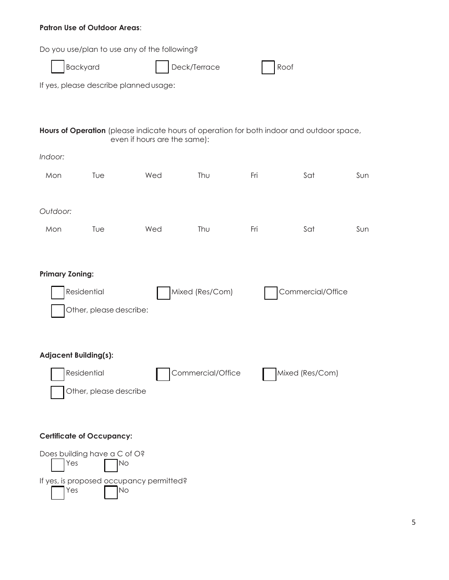## **Patron Use of Outdoor Areas**:

Do you use/plan to use any of the following?

|                              |                                  | Do you use/plan to use any of the following?                                                                              |                   |     |                   |     |
|------------------------------|----------------------------------|---------------------------------------------------------------------------------------------------------------------------|-------------------|-----|-------------------|-----|
|                              | Backyard<br>Deck/Terrace<br>Roof |                                                                                                                           |                   |     |                   |     |
|                              |                                  | If yes, please describe planned usage:                                                                                    |                   |     |                   |     |
|                              |                                  |                                                                                                                           |                   |     |                   |     |
|                              |                                  | Hours of Operation (please indicate hours of operation for both indoor and outdoor space,<br>even if hours are the same): |                   |     |                   |     |
| Indoor:                      |                                  |                                                                                                                           |                   |     |                   |     |
| Mon                          | Tue                              | Wed                                                                                                                       | Thu               | Fri | Sat               | Sun |
|                              |                                  |                                                                                                                           |                   |     |                   |     |
| Outdoor:                     |                                  |                                                                                                                           |                   |     |                   |     |
| Mon                          | Tue                              | Wed                                                                                                                       | Thu               | Fri | Sat               | Sun |
|                              |                                  |                                                                                                                           |                   |     |                   |     |
| <b>Primary Zoning:</b>       |                                  |                                                                                                                           |                   |     |                   |     |
|                              | Residential                      |                                                                                                                           | Mixed (Res/Com)   |     | Commercial/Office |     |
|                              | Other, please describe:          |                                                                                                                           |                   |     |                   |     |
|                              |                                  |                                                                                                                           |                   |     |                   |     |
|                              |                                  |                                                                                                                           |                   |     |                   |     |
| <b>Adjacent Building(s):</b> |                                  |                                                                                                                           |                   |     |                   |     |
|                              | Residential                      |                                                                                                                           | Commercial/Office |     | Mixed (Res/Com)   |     |
|                              | Other, please describe           |                                                                                                                           |                   |     |                   |     |
|                              |                                  |                                                                                                                           |                   |     |                   |     |
|                              | <b>Certificate of Occupancy:</b> |                                                                                                                           |                   |     |                   |     |
|                              | Does building have a C of O?     |                                                                                                                           |                   |     |                   |     |

No No

 $Yes$   $No$ 

If yes, is proposed occupancy permitted?